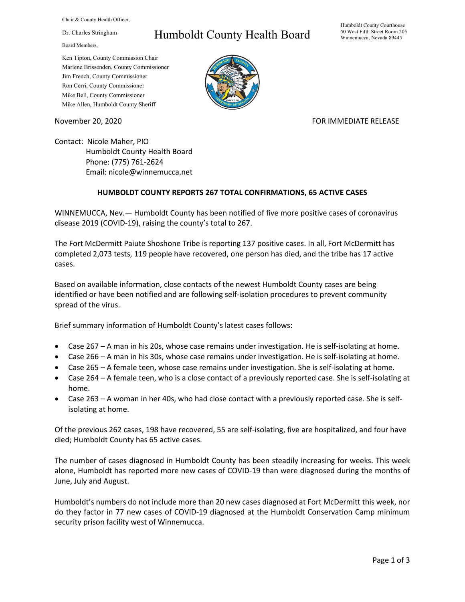Chair & County Health Officer,

Dr. Charles Stringham

Board Members,

## Humboldt County Health Board

Humboldt County Courthouse 50 West Fifth Street Room 205 Winnemucca, Nevada 89445

Ken Tipton, County Commission Chair Marlene Brissenden, County Commissioner Jim French, County Commissioner Ron Cerri, County Commissioner Mike Bell, County Commissioner Mike Allen, Humboldt County Sheriff

November 20, 2020 FOR IMMEDIATE RELEASE

Contact: Nicole Maher, PIO Humboldt County Health Board Phone: (775) 761-2624 Email: nicole@winnemucca.net

## **HUMBOLDT COUNTY REPORTS 267 TOTAL CONFIRMATIONS, 65 ACTIVE CASES**

WINNEMUCCA, Nev.— Humboldt County has been notified of five more positive cases of coronavirus disease 2019 (COVID-19), raising the county's total to 267.

The Fort McDermitt Paiute Shoshone Tribe is reporting 137 positive cases. In all, Fort McDermitt has completed 2,073 tests, 119 people have recovered, one person has died, and the tribe has 17 active cases.

Based on available information, close contacts of the newest Humboldt County cases are being identified or have been notified and are following self-isolation procedures to prevent community spread of the virus.

Brief summary information of Humboldt County's latest cases follows:

- Case 267 A man in his 20s, whose case remains under investigation. He is self-isolating at home.
- Case 266 A man in his 30s, whose case remains under investigation. He is self-isolating at home.
- Case 265 A female teen, whose case remains under investigation. She is self-isolating at home.
- Case 264 A female teen, who is a close contact of a previously reported case. She is self-isolating at home.
- Case 263 A woman in her 40s, who had close contact with a previously reported case. She is selfisolating at home.

Of the previous 262 cases, 198 have recovered, 55 are self-isolating, five are hospitalized, and four have died; Humboldt County has 65 active cases.

The number of cases diagnosed in Humboldt County has been steadily increasing for weeks. This week alone, Humboldt has reported more new cases of COVID-19 than were diagnosed during the months of June, July and August.

Humboldt's numbers do not include more than 20 new cases diagnosed at Fort McDermitt this week, nor do they factor in 77 new cases of COVID-19 diagnosed at the Humboldt Conservation Camp minimum security prison facility west of Winnemucca.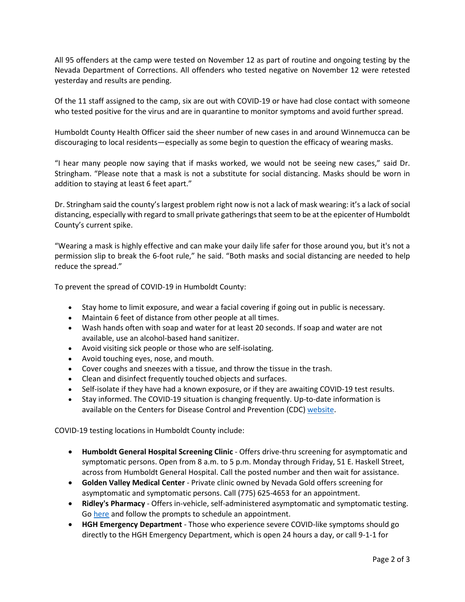All 95 offenders at the camp were tested on November 12 as part of routine and ongoing testing by the Nevada Department of Corrections. All offenders who tested negative on November 12 were retested yesterday and results are pending.

Of the 11 staff assigned to the camp, six are out with COVID-19 or have had close contact with someone who tested positive for the virus and are in quarantine to monitor symptoms and avoid further spread.

Humboldt County Health Officer said the sheer number of new cases in and around Winnemucca can be discouraging to local residents—especially as some begin to question the efficacy of wearing masks.

"I hear many people now saying that if masks worked, we would not be seeing new cases," said Dr. Stringham. "Please note that a mask is not a substitute for social distancing. Masks should be worn in addition to staying at least 6 feet apart."

Dr. Stringham said the county's largest problem right now is not a lack of mask wearing: it's a lack of social distancing, especially with regard to small private gatherings that seem to be at the epicenter of Humboldt County's current spike.

"Wearing a mask is highly effective and can make your daily life safer for those around you, but it's not a permission slip to break the 6-foot rule," he said. "Both masks and social distancing are needed to help reduce the spread."

To prevent the spread of COVID-19 in Humboldt County:

- Stay home to limit exposure, and wear a facial covering if going out in public is necessary.
- Maintain 6 feet of distance from other people at all times.
- Wash hands often with soap and water for at least 20 seconds. If soap and water are not available, use an alcohol-based hand sanitizer.
- Avoid visiting sick people or those who are self-isolating.
- Avoid touching eyes, nose, and mouth.
- Cover coughs and sneezes with a tissue, and throw the tissue in the trash.
- Clean and disinfect frequently touched objects and surfaces.
- Self-isolate if they have had a known exposure, or if they are awaiting COVID-19 test results.
- Stay informed. The COVID-19 situation is changing frequently. Up-to-date information is available on the Centers for Disease Control and Prevention (CDC) [website.](http://www.cdc.gov/coronavirus/2019-ncov/index.html)

COVID-19 testing locations in Humboldt County include:

- **Humboldt General Hospital Screening Clinic** Offers drive-thru screening for asymptomatic and symptomatic persons. Open from 8 a.m. to 5 p.m. Monday through Friday, 51 E. Haskell Street, across from Humboldt General Hospital. Call the posted number and then wait for assistance.
- **Golden Valley Medical Center** Private clinic owned by Nevada Gold offers screening for asymptomatic and symptomatic persons. Call (775) 625-4653 for an appointment.
- **Ridley's Pharmacy** Offers in-vehicle, self-administered asymptomatic and symptomatic testing. Go [here](https://www.doineedacovid19test.com/Winnemucca_NV_1098.html) and follow the prompts to schedule an appointment.
- **HGH Emergency Department**  Those who experience severe COVID-like symptoms should go directly to the HGH Emergency Department, which is open 24 hours a day, or call 9-1-1 for